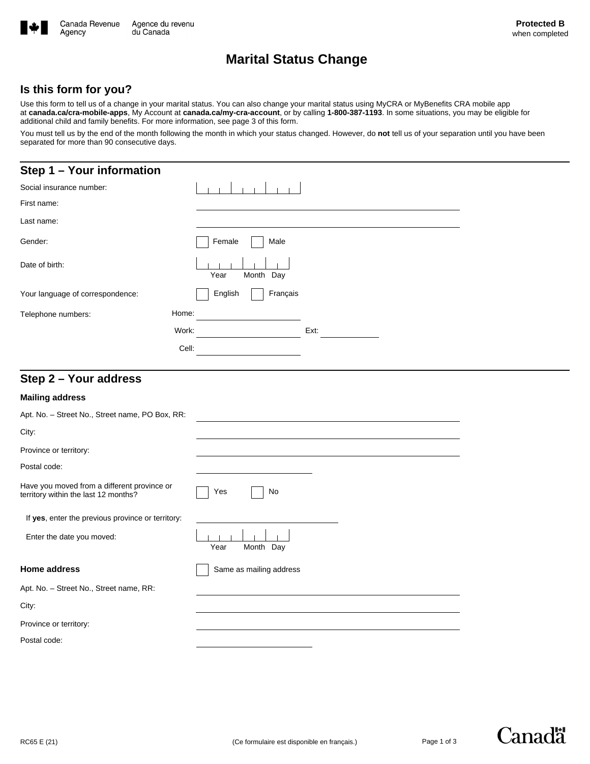

# **Marital Status Change**

### **Is this form for you?**

Use this form to tell us of a change in your marital status. You can also change your marital status using MyCRA or MyBenefits CRA mobile app at **canada.ca/cra-mobile-apps**, My Account at **canada.ca/my-cra-account**, or by calling **1-800-387-1193**. In some situations, you may be eligible for additional child and family benefits. For more information, see page 3 of this form.

You must tell us by the end of the month following the month in which your status changed. However, do not tell us of your separation until you have been separated for more than 90 consecutive days.

## **Step 1 – Your information**

| Social insurance number:         |                     |      |  |
|----------------------------------|---------------------|------|--|
| First name:                      |                     |      |  |
| Last name:                       |                     |      |  |
| Gender:                          | Female<br>Male      |      |  |
| Date of birth:                   | Month Day<br>Year   |      |  |
| Your language of correspondence: | Français<br>English |      |  |
| Telephone numbers:               | Home:               |      |  |
|                                  | Work:               | Ext: |  |
|                                  | Cell:               |      |  |
|                                  |                     |      |  |

## **Step 2 – Your address**

#### **Mailing address**

| Apt. No. - Street No., Street name, PO Box, RR:                                     |                         |
|-------------------------------------------------------------------------------------|-------------------------|
| City:                                                                               |                         |
| Province or territory:                                                              |                         |
| Postal code:                                                                        |                         |
| Have you moved from a different province or<br>territory within the last 12 months? | Yes<br>No               |
| If yes, enter the previous province or territory:                                   |                         |
| Enter the date you moved:                                                           | Month Day<br>Year       |
| <b>Home address</b>                                                                 | Same as mailing address |
| Apt. No. - Street No., Street name, RR:                                             |                         |
| City:                                                                               |                         |
| Province or territory:                                                              |                         |
| Postal code:                                                                        |                         |



**Canadä**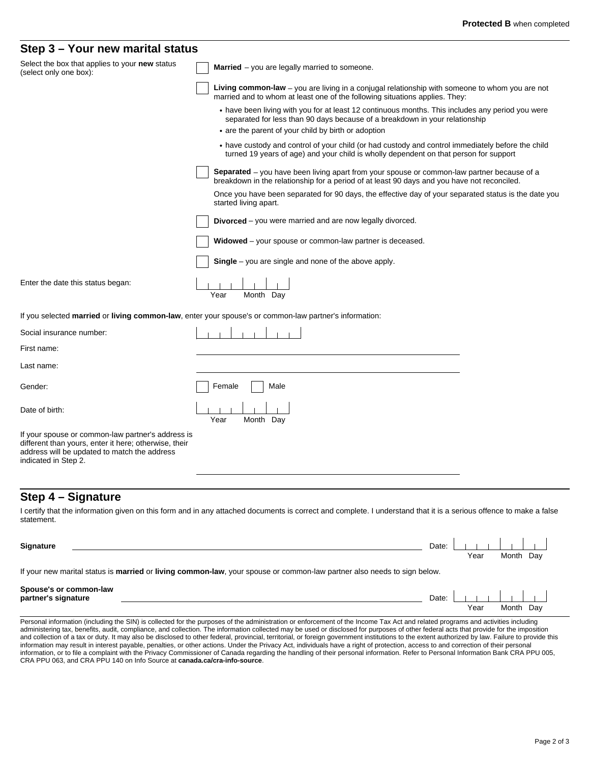### **Step 3 – Your new marital status**

| Select the box that applies to your new status<br>(select only one box):                                                                                                           | <b>Married</b> $-$ you are legally married to someone.                                                                                                                                           |  |
|------------------------------------------------------------------------------------------------------------------------------------------------------------------------------------|--------------------------------------------------------------------------------------------------------------------------------------------------------------------------------------------------|--|
|                                                                                                                                                                                    | Living common-law – you are living in a conjugal relationship with someone to whom you are not<br>married and to whom at least one of the following situations applies. They:                    |  |
|                                                                                                                                                                                    | • have been living with you for at least 12 continuous months. This includes any period you were<br>separated for less than 90 days because of a breakdown in your relationship                  |  |
|                                                                                                                                                                                    | • are the parent of your child by birth or adoption                                                                                                                                              |  |
|                                                                                                                                                                                    | • have custody and control of your child (or had custody and control immediately before the child<br>turned 19 years of age) and your child is wholly dependent on that person for support       |  |
|                                                                                                                                                                                    | <b>Separated</b> – you have been living apart from your spouse or common-law partner because of a<br>breakdown in the relationship for a period of at least 90 days and you have not reconciled. |  |
|                                                                                                                                                                                    | Once you have been separated for 90 days, the effective day of your separated status is the date you<br>started living apart.                                                                    |  |
|                                                                                                                                                                                    | Divorced - you were married and are now legally divorced.                                                                                                                                        |  |
|                                                                                                                                                                                    | Widowed - your spouse or common-law partner is deceased.                                                                                                                                         |  |
|                                                                                                                                                                                    | <b>Single</b> – you are single and none of the above apply.                                                                                                                                      |  |
| Enter the date this status began:                                                                                                                                                  | Year<br>Month Day                                                                                                                                                                                |  |
|                                                                                                                                                                                    | If you selected married or living common-law, enter your spouse's or common-law partner's information:                                                                                           |  |
| Social insurance number:                                                                                                                                                           |                                                                                                                                                                                                  |  |
| First name:                                                                                                                                                                        |                                                                                                                                                                                                  |  |
| Last name:                                                                                                                                                                         |                                                                                                                                                                                                  |  |
| Gender:                                                                                                                                                                            | Female<br>Male                                                                                                                                                                                   |  |
| Date of birth:                                                                                                                                                                     | Year<br>Month Day                                                                                                                                                                                |  |
| If your spouse or common-law partner's address is<br>different than yours, enter it here; otherwise, their<br>address will be updated to match the address<br>indicated in Step 2. |                                                                                                                                                                                                  |  |
|                                                                                                                                                                                    |                                                                                                                                                                                                  |  |

## **Step 4 – Signature**

I certify that the information given on this form and in any attached documents is correct and complete. I understand that it is a serious offence to make a false statement.

| <b>Signature</b>                                                                                                        | Date: I | Year | Month Dav |  |  |
|-------------------------------------------------------------------------------------------------------------------------|---------|------|-----------|--|--|
| If your new marital status is married or living common-law, your spouse or common-law partner also needs to sign below. |         |      |           |  |  |
| Spouse's or common-law<br>partner's signature                                                                           |         |      |           |  |  |

Personal information (including the SIN) is collected for the purposes of the administration or enforcement of the Income Tax Act and related programs and activities including administering tax, benefits, audit, compliance, and collection. The information collected may be used or disclosed for purposes of other federal acts that provide for the imposition and collection of a tax or duty. It may also be disclosed to other federal, provincial, territorial, or foreign government institutions to the extent authorized by law. Failure to provide this information may result in interest payable, penalties, or other actions. Under the Privacy Act, individuals have a right of protection, access to and correction of their personal information, or to file a complaint with the Privacy Commissioner of Canada regarding the handling of their personal information. Refer to Personal Information Bank CRA PPU 005,<br>CRA PPU 063, and CRA PPU 140 on Info Source

Year Month Day